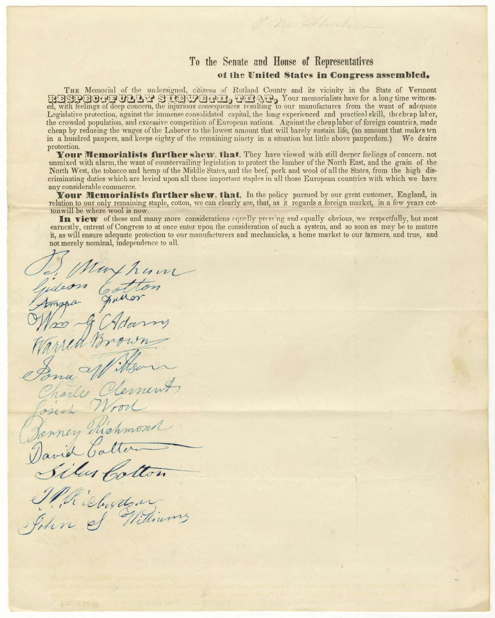## **To the Senate and Honse of Representatives**  of the United States in Congress assembled.

THE Memorial of the undersigned, citizens of Rutland County and its vicinity in the State of Vermont RESPECTIVED TO STREET, THEN ARE Your memorialists have for a long time witnessed, with feelings of deep concern, the injurious consequences resulting to our manufactures from the want of adequate Legislative protection, against the immense consolidated capital, the long experienced and practical skill, thcchrap lator, the crowded population, and excessive competition of European nations. Against the cheap labor of foreign countries, made cheap by reducing the wages of the Laborer to the lowest amount that will barely sustain life, (an amount that makes ten<br>in a hundred paupers, and keeps eighty of the remaining ninety in a situation but little above pauper in a hundred paupers, and keeps eighty of the remaining ninety in a situation but little above pauperdom.) protection.

**Your Memorialists further shew, that,** They have viewed with still deeper feelings of concern, not unmixed with alarm, the want of countervailing legislation to protect the lumber of the North East, and the grain of the North West, the tobacco and hemp of the Middle States, and the beef, pork and wool of all the States, from the high discriminating duties which are levied upon all these important staples in all those European countries with which we have any considerable commerce.

**Your Memorialists further shew, that,** In the policy pursued by our great customer, England, in relation to our only remaining staple, cotton, we can clearly see, that, as it regards a foreign market, in a few years cotton will be where wool is now.

In view of these and many more considerations *courlly pressing and equally obvious*, we respectfully, but most earnestly, entreat of Congress to at once enter upon the consideration of such a system, and so soon as may be to mature it, as will ensure adequate protection to our manufacturers and mechanicks, a home market to our farmers, and true, and

not merely nominal, independence to all. Je May hum<br>Gidson Catton Was f Adamy Bona Wittson  $\partial$ sich Wood Richmond Benney Kichmon/ *j\_tct7. ~ <sup>&</sup>gt;* David Catter

*//~d (* , ~~;,u *1,t!,?t,r?h~~)---* , *,0 /* - .. *J* G-t/4~;~\_j 0 */ 41.,-J/* l--- eJ / /